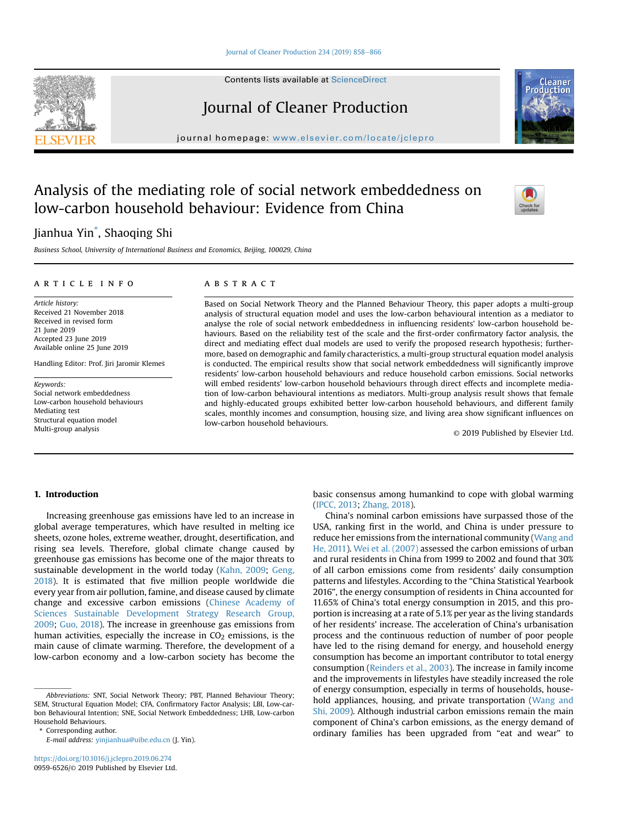#### [Journal of Cleaner Production 234 \(2019\) 858](https://doi.org/10.1016/j.jclepro.2019.06.274)-[866](https://doi.org/10.1016/j.jclepro.2019.06.274)

Contents lists available at ScienceDirect

# Journal of Cleaner Production

journal homepage: [www.elsevier.com/locate/jclepro](http://www.elsevier.com/locate/jclepro)

# Analysis of the mediating role of social network embeddedness on low-carbon household behaviour: Evidence from China

# Jianhua Yin\* , Shaoqing Shi

Business School, University of International Business and Economics, Beijing, 100029, China

## article info

Article history: Received 21 November 2018 Received in revised form 21 June 2019 Accepted 23 June 2019 Available online 25 June 2019

Handling Editor: Prof. Jiri Jaromir Klemes

Keywords: Social network embeddedness Low-carbon household behaviours Mediating test Structural equation model Multi-group analysis

## **ABSTRACT**

Based on Social Network Theory and the Planned Behaviour Theory, this paper adopts a multi-group analysis of structural equation model and uses the low-carbon behavioural intention as a mediator to analyse the role of social network embeddedness in influencing residents' low-carbon household behaviours. Based on the reliability test of the scale and the first-order confirmatory factor analysis, the direct and mediating effect dual models are used to verify the proposed research hypothesis; furthermore, based on demographic and family characteristics, a multi-group structural equation model analysis is conducted. The empirical results show that social network embeddedness will significantly improve residents' low-carbon household behaviours and reduce household carbon emissions. Social networks will embed residents' low-carbon household behaviours through direct effects and incomplete mediation of low-carbon behavioural intentions as mediators. Multi-group analysis result shows that female and highly-educated groups exhibited better low-carbon household behaviours, and different family scales, monthly incomes and consumption, housing size, and living area show significant influences on low-carbon household behaviours.

© 2019 Published by Elsevier Ltd.

# 1. Introduction

Increasing greenhouse gas emissions have led to an increase in global average temperatures, which have resulted in melting ice sheets, ozone holes, extreme weather, drought, desertification, and rising sea levels. Therefore, global climate change caused by greenhouse gas emissions has become one of the major threats to sustainable development in the world today ([Kahn, 2009](#page-8-0); [Geng,](#page-8-0) [2018\)](#page-8-0). It is estimated that five million people worldwide die every year from air pollution, famine, and disease caused by climate change and excessive carbon emissions ([Chinese Academy of](#page-8-0) [Sciences Sustainable Development Strategy Research Group,](#page-8-0) [2009](#page-8-0); [Guo, 2018\)](#page-8-0). The increase in greenhouse gas emissions from human activities, especially the increase in  $CO<sub>2</sub>$  emissions, is the main cause of climate warming. Therefore, the development of a low-carbon economy and a low-carbon society has become the

\* Corresponding author.

E-mail address: [yinjianhua@uibe.edu.cn](mailto:yinjianhua@uibe.edu.cn) (J. Yin).

basic consensus among humankind to cope with global warming ([IPCC, 2013](#page-8-0); [Zhang, 2018\)](#page-8-0).

China's nominal carbon emissions have surpassed those of the USA, ranking first in the world, and China is under pressure to reduce her emissions from the international community [\(Wang and](#page-8-0) [He, 2011](#page-8-0)). [Wei et al. \(2007\)](#page-8-0) assessed the carbon emissions of urban and rural residents in China from 1999 to 2002 and found that 30% of all carbon emissions come from residents' daily consumption patterns and lifestyles. According to the "China Statistical Yearbook 2016", the energy consumption of residents in China accounted for 11.65% of China's total energy consumption in 2015, and this proportion is increasing at a rate of 5.1% per year as the living standards of her residents' increase. The acceleration of China's urbanisation process and the continuous reduction of number of poor people have led to the rising demand for energy, and household energy consumption has become an important contributor to total energy consumption ([Reinders et al., 2003](#page-8-0)). The increase in family income and the improvements in lifestyles have steadily increased the role of energy consumption, especially in terms of households, household appliances, housing, and private transportation ([Wang and](#page-8-0) [Shi, 2009](#page-8-0)). Although industrial carbon emissions remain the main component of China's carbon emissions, as the energy demand of ordinary families has been upgraded from "eat and wear" to





Abbreviations: SNT, Social Network Theory; PBT, Planned Behaviour Theory; SEM, Structural Equation Model; CFA, Confirmatory Factor Analysis; LBI, Low-carbon Behavioural Intention; SNE, Social Network Embeddedness; LHB, Low-carbon Household Behaviours.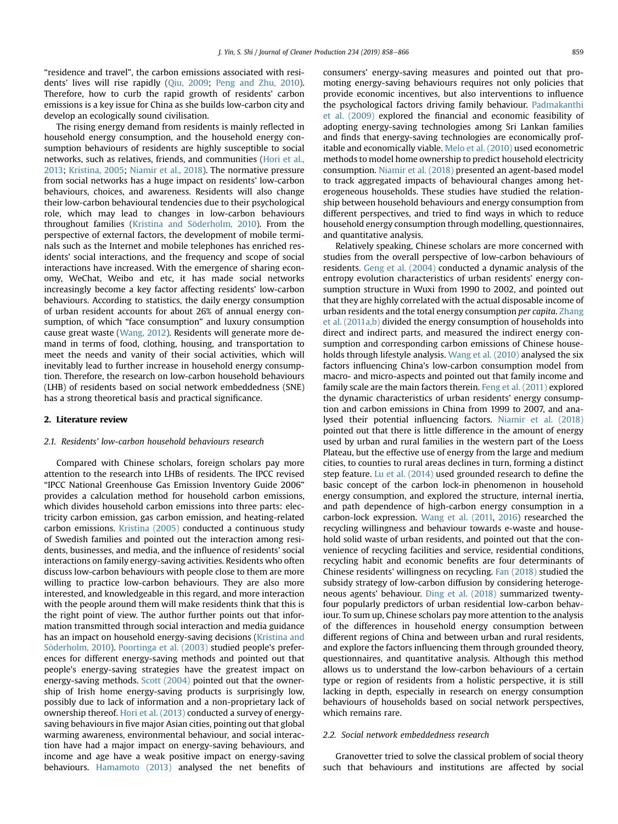"residence and travel", the carbon emissions associated with residents' lives will rise rapidly [\(Qiu, 2009;](#page-8-0) [Peng and Zhu, 2010\)](#page-8-0). Therefore, how to curb the rapid growth of residents' carbon emissions is a key issue for China as she builds low-carbon city and develop an ecologically sound civilisation.

The rising energy demand from residents is mainly reflected in household energy consumption, and the household energy consumption behaviours of residents are highly susceptible to social networks, such as relatives, friends, and communities ([Hori et al.,](#page-8-0) [2013;](#page-8-0) [Kristina, 2005;](#page-8-0) [Niamir et al., 2018](#page-8-0)). The normative pressure from social networks has a huge impact on residents' low-carbon behaviours, choices, and awareness. Residents will also change their low-carbon behavioural tendencies due to their psychological role, which may lead to changes in low-carbon behaviours throughout families (Kristina and Söderholm, 2010). From the perspective of external factors, the development of mobile terminals such as the Internet and mobile telephones has enriched residents' social interactions, and the frequency and scope of social interactions have increased. With the emergence of sharing economy, WeChat, Weibo and etc, it has made social networks increasingly become a key factor affecting residents' low-carbon behaviours. According to statistics, the daily energy consumption of urban resident accounts for about 26% of annual energy consumption, of which "face consumption" and luxury consumption cause great waste [\(Wang, 2012](#page-8-0)). Residents will generate more demand in terms of food, clothing, housing, and transportation to meet the needs and vanity of their social activities, which will inevitably lead to further increase in household energy consumption. Therefore, the research on low-carbon household behaviours (LHB) of residents based on social network embeddedness (SNE) has a strong theoretical basis and practical significance.

#### 2. Literature review

#### 2.1. Residents' low-carbon household behaviours research

Compared with Chinese scholars, foreign scholars pay more attention to the research into LHBs of residents. The IPCC revised "IPCC National Greenhouse Gas Emission Inventory Guide 2006" provides a calculation method for household carbon emissions, which divides household carbon emissions into three parts: electricity carbon emission, gas carbon emission, and heating-related carbon emissions. [Kristina \(2005\)](#page-8-0) conducted a continuous study of Swedish families and pointed out the interaction among residents, businesses, and media, and the influence of residents' social interactions on family energy-saving activities. Residents who often discuss low-carbon behaviours with people close to them are more willing to practice low-carbon behaviours. They are also more interested, and knowledgeable in this regard, and more interaction with the people around them will make residents think that this is the right point of view. The author further points out that information transmitted through social interaction and media guidance has an impact on household energy-saving decisions ([Kristina and](#page-8-0) Söderholm, 2010). [Poortinga et al. \(2003\)](#page-8-0) studied people's preferences for different energy-saving methods and pointed out that people's energy-saving strategies have the greatest impact on energy-saving methods. [Scott \(2004\)](#page-8-0) pointed out that the ownership of Irish home energy-saving products is surprisingly low, possibly due to lack of information and a non-proprietary lack of ownership thereof. [Hori et al. \(2013\)](#page-8-0) conducted a survey of energysaving behaviours in five major Asian cities, pointing out that global warming awareness, environmental behaviour, and social interaction have had a major impact on energy-saving behaviours, and income and age have a weak positive impact on energy-saving behaviours. [Hamamoto \(2013\)](#page-8-0) analysed the net benefits of consumers' energy-saving measures and pointed out that promoting energy-saving behaviours requires not only policies that provide economic incentives, but also interventions to influence the psychological factors driving family behaviour. [Padmakanthi](#page-8-0) [et al. \(2009\)](#page-8-0) explored the financial and economic feasibility of adopting energy-saving technologies among Sri Lankan families and finds that energy-saving technologies are economically profitable and economically viable. [Melo et al. \(2010\)](#page-8-0) used econometric methods to model home ownership to predict household electricity consumption. [Niamir et al. \(2018\)](#page-8-0) presented an agent-based model to track aggregated impacts of behavioural changes among heterogeneous households. These studies have studied the relationship between household behaviours and energy consumption from different perspectives, and tried to find ways in which to reduce household energy consumption through modelling, questionnaires, and quantitative analysis.

Relatively speaking, Chinese scholars are more concerned with studies from the overall perspective of low-carbon behaviours of residents. [Geng et al. \(2004\)](#page-8-0) conducted a dynamic analysis of the entropy evolution characteristics of urban residents' energy consumption structure in Wuxi from 1990 to 2002, and pointed out that they are highly correlated with the actual disposable income of urban residents and the total energy consumption per capita. [Zhang](#page-8-0) [et al. \(2011a,b\)](#page-8-0) divided the energy consumption of households into direct and indirect parts, and measured the indirect energy consumption and corresponding carbon emissions of Chinese households through lifestyle analysis. [Wang et al. \(2010\)](#page-8-0) analysed the six factors influencing China's low-carbon consumption model from macro- and micro-aspects and pointed out that family income and family scale are the main factors therein. [Feng et al. \(2011\)](#page-8-0) explored the dynamic characteristics of urban residents' energy consumption and carbon emissions in China from 1999 to 2007, and analysed their potential influencing factors. [Niamir et al. \(2018\)](#page-8-0) pointed out that there is little difference in the amount of energy used by urban and rural families in the western part of the Loess Plateau, but the effective use of energy from the large and medium cities, to counties to rural areas declines in turn, forming a distinct step feature. [Lu et al. \(2014\)](#page-8-0) used grounded research to define the basic concept of the carbon lock-in phenomenon in household energy consumption, and explored the structure, internal inertia, and path dependence of high-carbon energy consumption in a carbon-lock expression. [Wang et al. \(2011,](#page-8-0) [2016\)](#page-8-0) researched the recycling willingness and behaviour towards e-waste and household solid waste of urban residents, and pointed out that the convenience of recycling facilities and service, residential conditions, recycling habit and economic benefits are four determinants of Chinese residents' willingness on recycling. [Fan \(2018\)](#page-8-0) studied the subsidy strategy of low-carbon diffusion by considering heterogeneous agents' behaviour. [Ding et al. \(2018\)](#page-8-0) summarized twentyfour popularly predictors of urban residential low-carbon behaviour. To sum up, Chinese scholars pay more attention to the analysis of the differences in household energy consumption between different regions of China and between urban and rural residents, and explore the factors influencing them through grounded theory, questionnaires, and quantitative analysis. Although this method allows us to understand the low-carbon behaviours of a certain type or region of residents from a holistic perspective, it is still lacking in depth, especially in research on energy consumption behaviours of households based on social network perspectives, which remains rare.

# 2.2. Social network embeddedness research

Granovetter tried to solve the classical problem of social theory such that behaviours and institutions are affected by social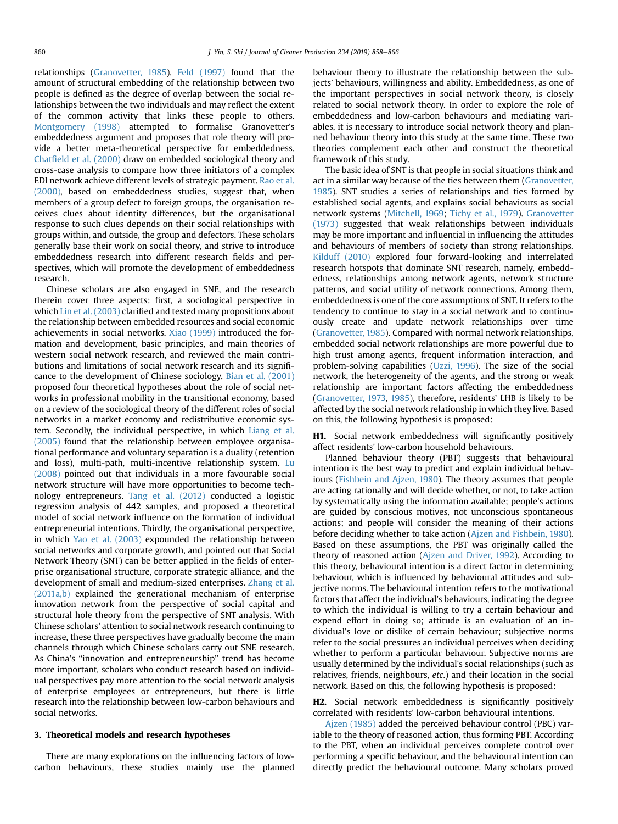relationships [\(Granovetter, 1985\)](#page-8-0). [Feld \(1997\)](#page-8-0) found that the amount of structural embedding of the relationship between two people is defined as the degree of overlap between the social relationships between the two individuals and may reflect the extent of the common activity that links these people to others. [Montgomery \(1998\)](#page-8-0) attempted to formalise Granovetter's embeddedness argument and proposes that role theory will provide a better meta-theoretical perspective for embeddedness. Chatfi[eld et al. \(2000\)](#page-8-0) draw on embedded sociological theory and cross-case analysis to compare how three initiators of a complex EDI network achieve different levels of strategic payment. [Rao et al.](#page-8-0) [\(2000\)](#page-8-0), based on embeddedness studies, suggest that, when members of a group defect to foreign groups, the organisation receives clues about identity differences, but the organisational response to such clues depends on their social relationships with groups within, and outside, the group and defectors. These scholars generally base their work on social theory, and strive to introduce embeddedness research into different research fields and perspectives, which will promote the development of embeddedness research.

Chinese scholars are also engaged in SNE, and the research therein cover three aspects: first, a sociological perspective in which [Lin et al. \(2003\)](#page-8-0) clarified and tested many propositions about the relationship between embedded resources and social economic achievements in social networks. [Xiao \(1999\)](#page-8-0) introduced the formation and development, basic principles, and main theories of western social network research, and reviewed the main contributions and limitations of social network research and its significance to the development of Chinese sociology. [Bian et al. \(2001\)](#page-8-0) proposed four theoretical hypotheses about the role of social networks in professional mobility in the transitional economy, based on a review of the sociological theory of the different roles of social networks in a market economy and redistributive economic system. Secondly, the individual perspective, in which [Liang et al.](#page-8-0) [\(2005\)](#page-8-0) found that the relationship between employee organisational performance and voluntary separation is a duality (retention and loss), multi-path, multi-incentive relationship system. [Lu](#page-8-0) [\(2008\)](#page-8-0) pointed out that individuals in a more favourable social network structure will have more opportunities to become technology entrepreneurs. [Tang et al. \(2012\)](#page-8-0) conducted a logistic regression analysis of 442 samples, and proposed a theoretical model of social network influence on the formation of individual entrepreneurial intentions. Thirdly, the organisational perspective, in which [Yao et al. \(2003\)](#page-8-0) expounded the relationship between social networks and corporate growth, and pointed out that Social Network Theory (SNT) can be better applied in the fields of enterprise organisational structure, corporate strategic alliance, and the development of small and medium-sized enterprises. [Zhang et al.](#page-8-0) [\(2011a,b\)](#page-8-0) explained the generational mechanism of enterprise innovation network from the perspective of social capital and structural hole theory from the perspective of SNT analysis. With Chinese scholars' attention to social network research continuing to increase, these three perspectives have gradually become the main channels through which Chinese scholars carry out SNE research. As China's "innovation and entrepreneurship" trend has become more important, scholars who conduct research based on individual perspectives pay more attention to the social network analysis of enterprise employees or entrepreneurs, but there is little research into the relationship between low-carbon behaviours and social networks.

### 3. Theoretical models and research hypotheses

There are many explorations on the influencing factors of lowcarbon behaviours, these studies mainly use the planned

behaviour theory to illustrate the relationship between the subjects' behaviours, willingness and ability. Embeddedness, as one of the important perspectives in social network theory, is closely related to social network theory. In order to explore the role of embeddedness and low-carbon behaviours and mediating variables, it is necessary to introduce social network theory and planned behaviour theory into this study at the same time. These two theories complement each other and construct the theoretical framework of this study.

The basic idea of SNT is that people in social situations think and act in a similar way because of the ties between them [\(Granovetter,](#page-8-0) [1985](#page-8-0)). SNT studies a series of relationships and ties formed by established social agents, and explains social behaviours as social network systems ([Mitchell, 1969;](#page-8-0) [Tichy et al., 1979](#page-8-0)). [Granovetter](#page-8-0) [\(1973\)](#page-8-0) suggested that weak relationships between individuals may be more important and influential in influencing the attitudes and behaviours of members of society than strong relationships. [Kilduff \(2010\)](#page-8-0) explored four forward-looking and interrelated research hotspots that dominate SNT research, namely, embeddedness, relationships among network agents, network structure patterns, and social utility of network connections. Among them, embeddedness is one of the core assumptions of SNT. It refers to the tendency to continue to stay in a social network and to continuously create and update network relationships over time ([Granovetter, 1985](#page-8-0)). Compared with normal network relationships, embedded social network relationships are more powerful due to high trust among agents, frequent information interaction, and problem-solving capabilities ([Uzzi, 1996](#page-8-0)). The size of the social network, the heterogeneity of the agents, and the strong or weak relationship are important factors affecting the embeddedness ([Granovetter, 1973](#page-8-0), [1985\)](#page-8-0), therefore, residents' LHB is likely to be affected by the social network relationship in which they live. Based on this, the following hypothesis is proposed:

H1. Social network embeddedness will significantly positively affect residents' low-carbon household behaviours.

Planned behaviour theory (PBT) suggests that behavioural intention is the best way to predict and explain individual behaviours ([Fishbein and Ajzen, 1980](#page-8-0)). The theory assumes that people are acting rationally and will decide whether, or not, to take action by systematically using the information available; people's actions are guided by conscious motives, not unconscious spontaneous actions; and people will consider the meaning of their actions before deciding whether to take action [\(Ajzen and Fishbein, 1980\)](#page-8-0). Based on these assumptions, the PBT was originally called the theory of reasoned action ([Ajzen and Driver, 1992\)](#page-7-0). According to this theory, behavioural intention is a direct factor in determining behaviour, which is influenced by behavioural attitudes and subjective norms. The behavioural intention refers to the motivational factors that affect the individual's behaviours, indicating the degree to which the individual is willing to try a certain behaviour and expend effort in doing so; attitude is an evaluation of an individual's love or dislike of certain behaviour; subjective norms refer to the social pressures an individual perceives when deciding whether to perform a particular behaviour. Subjective norms are usually determined by the individual's social relationships (such as relatives, friends, neighbours, etc.) and their location in the social network. Based on this, the following hypothesis is proposed:

H2. Social network embeddedness is significantly positively correlated with residents' low-carbon behavioural intentions.

[Ajzen \(1985\)](#page-7-0) added the perceived behaviour control (PBC) variable to the theory of reasoned action, thus forming PBT. According to the PBT, when an individual perceives complete control over performing a specific behaviour, and the behavioural intention can directly predict the behavioural outcome. Many scholars proved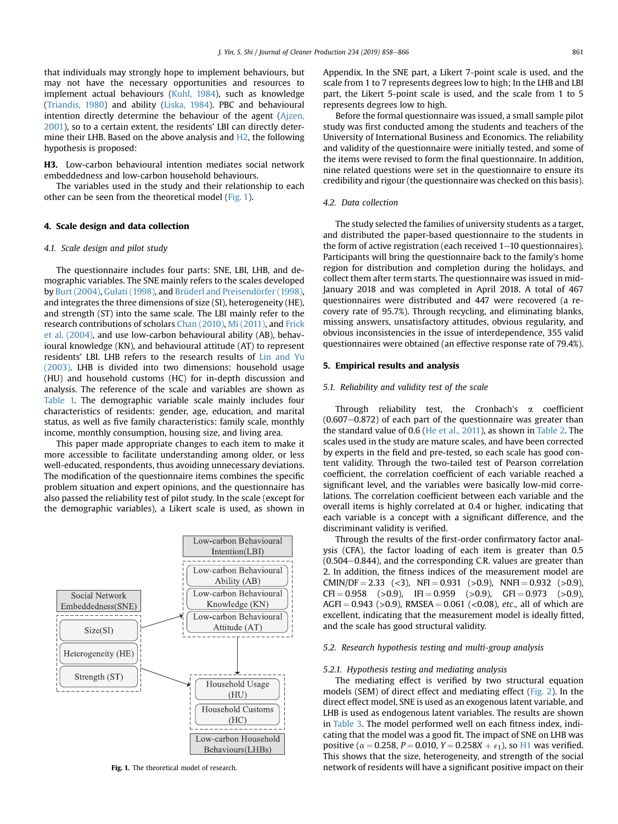that individuals may strongly hope to implement behaviours, but may not have the necessary opportunities and resources to implement actual behaviours ([Kuhl, 1984\)](#page-8-0), such as knowledge ([Triandis, 1980](#page-8-0)) and ability [\(Liska, 1984\)](#page-8-0). PBC and behavioural intention directly determine the behaviour of the agent [\(Ajzen,](#page-7-0) [2001\)](#page-7-0), so to a certain extent, the residents' LBI can directly determine their LHB. Based on the above analysis and H2, the following hypothesis is proposed:

H3. Low-carbon behavioural intention mediates social network embeddedness and low-carbon household behaviours.

The variables used in the study and their relationship to each other can be seen from the theoretical model (Fig. 1).

# 4. Scale design and data collection

# 4.1. Scale design and pilot study

The questionnaire includes four parts: SNE, LBI, LHB, and demographic variables. The SNE mainly refers to the scales developed by [Burt \(2004\),](#page-8-0) [Gulati \(1998\)](#page-8-0), and [Brüderl and Preisend](#page-8-0)ö[rfer \(1998\)](#page-8-0), and integrates the three dimensions of size (SI), heterogeneity (HE), and strength (ST) into the same scale. The LBI mainly refer to the research contributions of scholars [Chan \(2010\)](#page-8-0), [Mi \(2011\),](#page-8-0) and [Frick](#page-8-0) [et al. \(2004\)](#page-8-0), and use low-carbon behavioural ability (AB), behavioural knowledge (KN), and behavioural attitude (AT) to represent residents' LBI. LHB refers to the research results of [Lin and Yu](#page-8-0) [\(2003\).](#page-8-0) LHB is divided into two dimensions: household usage (HU) and household customs (HC) for in-depth discussion and analysis. The reference of the scale and variables are shown as [Table 1.](#page-4-0) The demographic variable scale mainly includes four characteristics of residents: gender, age, education, and marital status, as well as five family characteristics: family scale, monthly income, monthly consumption, housing size, and living area.

This paper made appropriate changes to each item to make it more accessible to facilitate understanding among older, or less well-educated, respondents, thus avoiding unnecessary deviations. The modification of the questionnaire items combines the specific problem situation and expert opinions, and the questionnaire has also passed the reliability test of pilot study. In the scale (except for the demographic variables), a Likert scale is used, as shown in



Appendix. In the SNE part, a Likert 7-point scale is used, and the scale from 1 to 7 represents degrees low to high; In the LHB and LBI part, the Likert 5-point scale is used, and the scale from 1 to 5 represents degrees low to high.

Before the formal questionnaire was issued, a small sample pilot study was first conducted among the students and teachers of the University of International Business and Economics. The reliability and validity of the questionnaire were initially tested, and some of the items were revised to form the final questionnaire. In addition, nine related questions were set in the questionnaire to ensure its credibility and rigour (the questionnaire was checked on this basis).

## 4.2. Data collection

The study selected the families of university students as a target, and distributed the paper-based questionnaire to the students in the form of active registration (each received  $1-10$  questionnaires). Participants will bring the questionnaire back to the family's home region for distribution and completion during the holidays, and collect them after term starts. The questionnaire was issued in mid-January 2018 and was completed in April 2018. A total of 467 questionnaires were distributed and 447 were recovered (a recovery rate of 95.7%). Through recycling, and eliminating blanks, missing answers, unsatisfactory attitudes, obvious regularity, and obvious inconsistencies in the issue of interdependence, 355 valid questionnaires were obtained (an effective response rate of 79.4%).

# 5. Empirical results and analysis

### 5.1. Reliability and validity test of the scale

Through reliability test, the Cronbach's  $\alpha$  coefficient  $(0.607-0.872)$  of each part of the questionnaire was greater than the standard value of 0.6 [\(He et al., 2011](#page-8-0)), as shown in [Table 2](#page-4-0). The scales used in the study are mature scales, and have been corrected by experts in the field and pre-tested, so each scale has good content validity. Through the two-tailed test of Pearson correlation coefficient, the correlation coefficient of each variable reached a significant level, and the variables were basically low-mid correlations. The correlation coefficient between each variable and the overall items is highly correlated at 0.4 or higher, indicating that each variable is a concept with a significant difference, and the discriminant validity is verified.

Through the results of the first-order confirmatory factor analysis (CFA), the factor loading of each item is greater than 0.5  $(0.504-0.844)$ , and the corresponding C.R. values are greater than 2. In addition, the fitness indices of the measurement model are CMIN/DF = 2.33 (<3), NFI = 0.931 (>0.9), NNFI = 0.932 (>0.9),  $CFI = 0.958$  (>0.9),  $IFI = 0.959$  (>0.9),  $GFI = 0.973$  (>0.9),  $AGFI = 0.943$  (>0.9), RMSEA = 0.061 (<0.08), *etc.*, all of which are excellent, indicating that the measurement model is ideally fitted, and the scale has good structural validity.

# 5.2. Research hypothesis testing and multi-group analysis

#### 5.2.1. Hypothesis testing and mediating analysis

The mediating effect is verified by two structural equation models (SEM) of direct effect and mediating effect [\(Fig. 2\)](#page-4-0). In the direct effect model, SNE is used as an exogenous latent variable, and LHB is used as endogenous latent variables. The results are shown in [Table 3.](#page-4-0) The model performed well on each fitness index, indicating that the model was a good fit. The impact of SNE on LHB was positive ( $\alpha = 0.258$ , P = 0.010, Y = 0.258X +  $\varepsilon_1$ ), so H1 was verified. This shows that the size, heterogeneity, and strength of the social Fig. 1. The theoretical model of research. **network of residents will have a significant positive impact on their**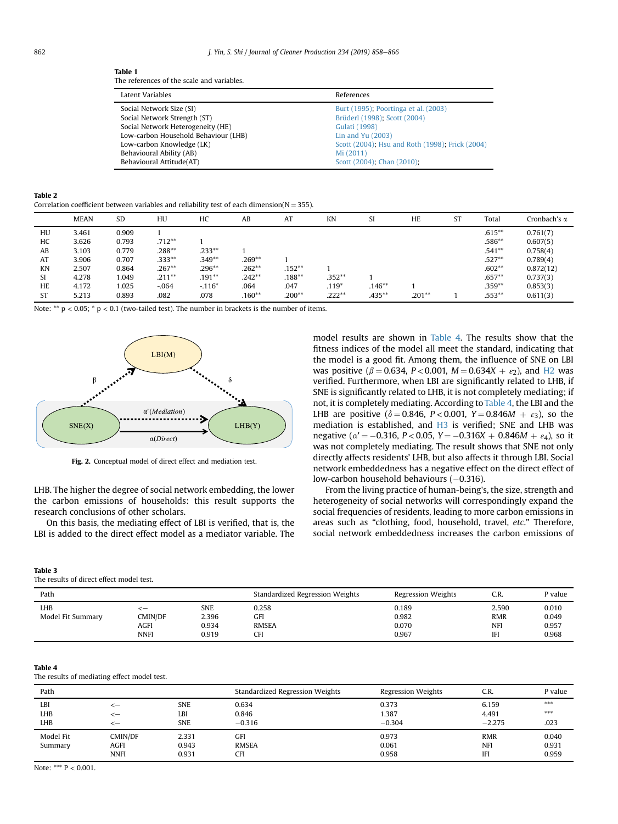#### <span id="page-4-0"></span>Table 1

The references of the scale and variables.

| Latent Variables                     | References                                      |
|--------------------------------------|-------------------------------------------------|
| Social Network Size (SI)             | Burt (1995); Poortinga et al. (2003)            |
| Social Network Strength (ST)         | Brüderl (1998); Scott (2004)                    |
| Social Network Heterogeneity (HE)    | <b>Gulati (1998)</b>                            |
| Low-carbon Household Behaviour (LHB) | Lin and Yu (2003)                               |
| Low-carbon Knowledge (LK)            | Scott (2004); Hsu and Roth (1998); Frick (2004) |
| Behavioural Ability (AB)             | Mi (2011)                                       |
| Behavioural Attitude(AT)             | Scott (2004); Chan (2010);                      |

| abı |  |
|-----|--|
|-----|--|

**Table 2**<br>Correlation coefficient between variables and reliability test of each dimension(N = 355).

|           | <b>MEAN</b> | <b>SD</b> | HU        | НC       | AB       | AT        | <b>KN</b> |           | <b>HE</b> | ST | Total     | Cronbach's α |
|-----------|-------------|-----------|-----------|----------|----------|-----------|-----------|-----------|-----------|----|-----------|--------------|
| HU        | 3.461       | 0.909     |           |          |          |           |           |           |           |    | $.615***$ | 0.761(7)     |
| HC        | 3.626       | 0.793     | $.712**$  |          |          |           |           |           |           |    | $.586**$  | 0.607(5)     |
| AB        | 3.103       | 0.779     | $.288**$  | $.233**$ |          |           |           |           |           |    | $.541**$  | 0.758(4)     |
| AT        | 3.906       | 0.707     | $.333**$  | $.349**$ | $.269**$ |           |           |           |           |    | $.527**$  | 0.789(4)     |
| KN        | 2.507       | 0.864     | $.267**$  | $.296**$ | $.262**$ | $.152***$ |           |           |           |    | $.602**$  | 0.872(12)    |
| SI        | 4.278       | 1.049     | $.211***$ | $.191**$ | $.242**$ | $.188***$ | $.352**$  |           |           |    | $.657**$  | 0.737(3)     |
| HE        | 4.172       | 1.025     | $-.064$   | $-.116*$ | .064     | .047      | $.119*$   | $.146**$  |           |    | $.359**$  | 0.853(3)     |
| <b>ST</b> | 5.213       | 0.893     | .082      | .078     | $.160**$ | $.200**$  | $.222**$  | $.435***$ | $.201**$  |    | $.553**$  | 0.611(3)     |

Note: \*\*  $p < 0.05$ ; \*  $p < 0.1$  (two-tailed test). The number in brackets is the number of items.



Fig. 2. Conceptual model of direct effect and mediation test.

LHB. The higher the degree of social network embedding, the lower the carbon emissions of households: this result supports the research conclusions of other scholars.

On this basis, the mediating effect of LBI is verified, that is, the LBI is added to the direct effect model as a mediator variable. The

#### Table 3

The results of direct effect model test.

| Path                            |                                      |                                       | Standardized Regression Weights     | <b>Regression Weights</b>        | C.R.                                            | P value                          |
|---------------------------------|--------------------------------------|---------------------------------------|-------------------------------------|----------------------------------|-------------------------------------------------|----------------------------------|
| <b>LHB</b><br>Model Fit Summary | ′−<br>CMIN/DF<br>AGFI<br><b>NNFI</b> | <b>SNE</b><br>2.396<br>0.934<br>0.919 | 0.258<br>GFI<br><b>RMSEA</b><br>CFI | 0.189<br>0.982<br>0.070<br>0.967 | 2.590<br><b>RMR</b><br><b>NFI</b><br><b>IFI</b> | 0.010<br>0.049<br>0.957<br>0.968 |

## Table 4

The results of mediating effect model test.

| Path                 |                                |                                 | Standardized Regression Weights   | <b>Regression Weights</b>  | C.R.                                   | P value                 |
|----------------------|--------------------------------|---------------------------------|-----------------------------------|----------------------------|----------------------------------------|-------------------------|
| LBI<br>LHB<br>LHB    | <—<br><—<br><—                 | <b>SNE</b><br>LBI<br><b>SNE</b> | 0.634<br>0.846<br>$-0.316$        | 0.373<br>1.387<br>$-0.304$ | 6.159<br>4.491<br>$-2.275$             | $***$<br>$***$<br>.023  |
| Model Fit<br>Summary | CMIN/DF<br>AGFI<br><b>NNFI</b> | 2.331<br>0.943<br>0.931         | GFI<br><b>RMSEA</b><br><b>CFI</b> | 0.973<br>0.061<br>0.958    | <b>RMR</b><br><b>NFI</b><br><b>IFI</b> | 0.040<br>0.931<br>0.959 |

Note: \*\*\* P < 0.001.

model results are shown in Table 4. The results show that the fitness indices of the model all meet the standard, indicating that the model is a good fit. Among them, the influence of SNE on LBI was positive ( $\beta = 0.634$ , P < 0.001, M = 0.634X +  $\varepsilon_2$ ), and H2 was verified. Furthermore, when LBI are significantly related to LHB, if SNE is significantly related to LHB, it is not completely mediating; if not, it is completely mediating. According to Table 4, the LBI and the LHB are positive ( $\delta = 0.846$ , P < 0.001, Y = 0.846M +  $\varepsilon_3$ ), so the mediation is established, and H3 is verified; SNE and LHB was negative ( $\alpha' = -0.316$ ,  $P < 0.05$ ,  $Y = -0.316X + 0.846M + \varepsilon_4$ ), so it was not completely mediating. The result shows that SNE not only directly affects residents' LHB, but also affects it through LBI. Social network embeddedness has a negative effect on the direct effect of low-carbon household behaviours (-0.316).

From the living practice of human-being's, the size, strength and heterogeneity of social networks will correspondingly expand the social frequencies of residents, leading to more carbon emissions in areas such as "clothing, food, household, travel, etc." Therefore, social network embeddedness increases the carbon emissions of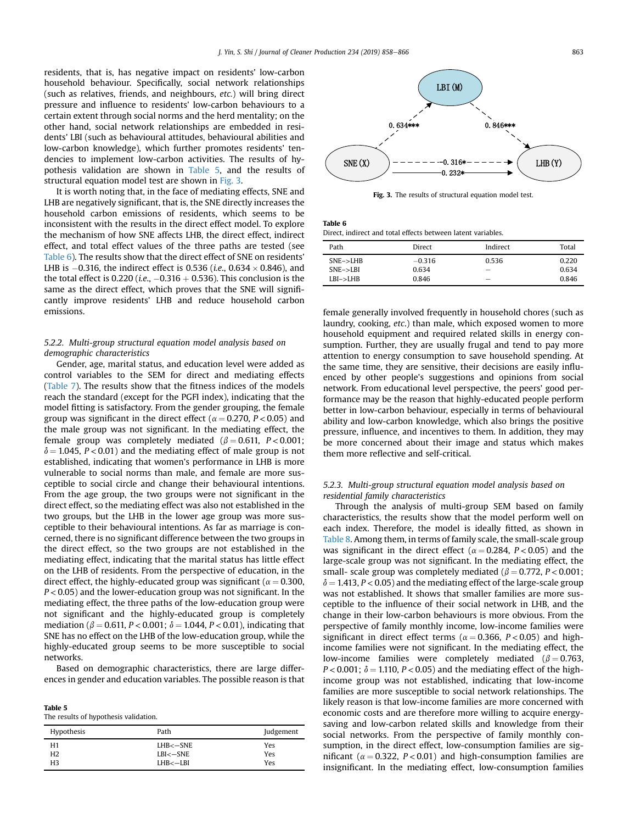residents, that is, has negative impact on residents' low-carbon household behaviour. Specifically, social network relationships (such as relatives, friends, and neighbours, etc.) will bring direct pressure and influence to residents' low-carbon behaviours to a certain extent through social norms and the herd mentality; on the other hand, social network relationships are embedded in residents' LBI (such as behavioural attitudes, behavioural abilities and low-carbon knowledge), which further promotes residents' tendencies to implement low-carbon activities. The results of hypothesis validation are shown in Table 5, and the results of structural equation model test are shown in Fig. 3.

It is worth noting that, in the face of mediating effects, SNE and LHB are negatively significant, that is, the SNE directly increases the household carbon emissions of residents, which seems to be inconsistent with the results in the direct effect model. To explore the mechanism of how SNE affects LHB, the direct effect, indirect effect, and total effect values of the three paths are tested (see Table 6). The results show that the direct effect of SNE on residents' LHB is  $-0.316$ , the indirect effect is 0.536 (*i.e.*, 0.634  $\times$  0.846), and the total effect is 0.220 (*i.e.*,  $-0.316 + 0.536$ ). This conclusion is the same as the direct effect, which proves that the SNE will significantly improve residents' LHB and reduce household carbon emissions.

# 5.2.2. Multi-group structural equation model analysis based on demographic characteristics

Gender, age, marital status, and education level were added as control variables to the SEM for direct and mediating effects ([Table 7](#page-6-0)). The results show that the fitness indices of the models reach the standard (except for the PGFI index), indicating that the model fitting is satisfactory. From the gender grouping, the female group was significant in the direct effect ( $\alpha$  = 0.270, P < 0.05) and the male group was not significant. In the mediating effect, the female group was completely mediated ( $\beta = 0.611$ ,  $P < 0.001$ ;  $\delta$  = 1.045, P < 0.01) and the mediating effect of male group is not established, indicating that women's performance in LHB is more vulnerable to social norms than male, and female are more susceptible to social circle and change their behavioural intentions. From the age group, the two groups were not significant in the direct effect, so the mediating effect was also not established in the two groups, but the LHB in the lower age group was more susceptible to their behavioural intentions. As far as marriage is concerned, there is no significant difference between the two groups in the direct effect, so the two groups are not established in the mediating effect, indicating that the marital status has little effect on the LHB of residents. From the perspective of education, in the direct effect, the highly-educated group was significant ( $\alpha = 0.300$ ,  $P < 0.05$ ) and the lower-education group was not significant. In the mediating effect, the three paths of the low-education group were not significant and the highly-educated group is completely mediation ( $\beta = 0.611$ ,  $P < 0.001$ ;  $\delta = 1.044$ ,  $P < 0.01$ ), indicating that SNE has no effect on the LHB of the low-education group, while the highly-educated group seems to be more susceptible to social networks.

Based on demographic characteristics, there are large differences in gender and education variables. The possible reason is that

| . |                                       |
|---|---------------------------------------|
|   | The results of hypothesis validation. |

Table 5

| Hypothesis     | Path         | Judgement |
|----------------|--------------|-----------|
| H1             | LHB<-SNE     | Yes       |
| H <sub>2</sub> | $LBI < -SNE$ | Yes       |
| H3             | $LHB < -LBI$ | Yes       |



Fig. 3. The results of structural equation model test.

Table 6

Direct, indirect and total effects between latent variables.

| Path       | Direct   | Indirect                 | Total |
|------------|----------|--------------------------|-------|
| $SNE->LHB$ | $-0.316$ | 0.536                    | 0.220 |
| $SNE->LBI$ | 0.634    | $\overline{\phantom{a}}$ | 0.634 |
| $LBI->LHB$ | 0.846    | $\overline{\phantom{a}}$ | 0.846 |

female generally involved frequently in household chores (such as laundry, cooking, etc.) than male, which exposed women to more household equipment and required related skills in energy consumption. Further, they are usually frugal and tend to pay more attention to energy consumption to save household spending. At the same time, they are sensitive, their decisions are easily influenced by other people's suggestions and opinions from social network. From educational level perspective, the peers' good performance may be the reason that highly-educated people perform better in low-carbon behaviour, especially in terms of behavioural ability and low-carbon knowledge, which also brings the positive pressure, influence, and incentives to them. In addition, they may be more concerned about their image and status which makes them more reflective and self-critical.

# 5.2.3. Multi-group structural equation model analysis based on residential family characteristics

Through the analysis of multi-group SEM based on family characteristics, the results show that the model perform well on each index. Therefore, the model is ideally fitted, as shown in [Table 8.](#page-6-0) Among them, in terms of family scale, the small-scale group was significant in the direct effect ( $\alpha = 0.284$ ,  $P < 0.05$ ) and the large-scale group was not significant. In the mediating effect, the small- scale group was completely mediated ( $\beta = 0.772$ ,  $P < 0.001$ ;  $\delta = 1.413$ , P < 0.05) and the mediating effect of the large-scale group was not established. It shows that smaller families are more susceptible to the influence of their social network in LHB, and the change in their low-carbon behaviours is more obvious. From the perspective of family monthly income, low-income families were significant in direct effect terms ( $\alpha = 0.366$ ,  $P < 0.05$ ) and highincome families were not significant. In the mediating effect, the low-income families were completely mediated ( $\beta = 0.763$ ,  $P < 0.001$ ;  $\delta = 1.110$ ,  $P < 0.05$ ) and the mediating effect of the highincome group was not established, indicating that low-income families are more susceptible to social network relationships. The likely reason is that low-income families are more concerned with economic costs and are therefore more willing to acquire energysaving and low-carbon related skills and knowledge from their social networks. From the perspective of family monthly consumption, in the direct effect, low-consumption families are significant ( $\alpha = 0.322$ , P < 0.01) and high-consumption families are insignificant. In the mediating effect, low-consumption families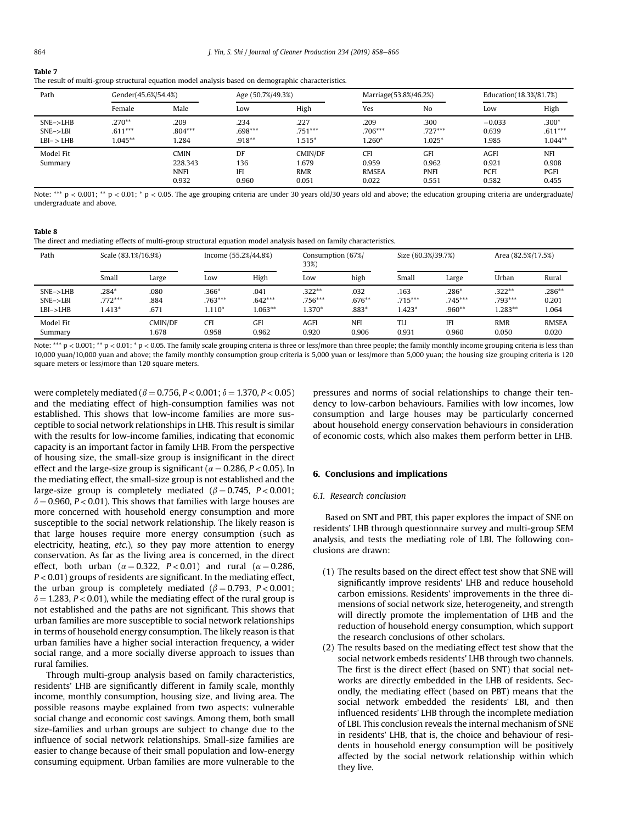<span id="page-6-0"></span>

| $\sim$<br>. .<br>. . |  |
|----------------------|--|
|----------------------|--|

| The result of multi-group structural equation model analysis based on demographic characteristics. |  |  |  |  |
|----------------------------------------------------------------------------------------------------|--|--|--|--|
|----------------------------------------------------------------------------------------------------|--|--|--|--|

| Path                                   | Gender(45.6%/54.4%)                 |                                                | Age (50.7%/49.3%)                |                                         | Marriage(53.8%/46.2%)                        |                                             | Education(18.3%/81.7%)                       |                                             |
|----------------------------------------|-------------------------------------|------------------------------------------------|----------------------------------|-----------------------------------------|----------------------------------------------|---------------------------------------------|----------------------------------------------|---------------------------------------------|
|                                        | Female                              | Male                                           | Low                              | High                                    | Yes                                          | N <sub>o</sub>                              | Low                                          | High                                        |
| $SNE->LHB$<br>$SNE->LBI$<br>$LBI->LHB$ | $.270**$<br>$.611***$<br>$1.045***$ | .209<br>$.804***$<br>l.284                     | .234<br>$.698***$<br>$.918**$    | .227<br>$.751***$<br>$1.515*$           | .209<br>$.706***$<br>$1.260*$                | .300<br>$.727***$<br>$1.025*$               | $-0.033$<br>0.639<br>1.985                   | $.300*$<br>$.611***$<br>$1.044**$           |
| Model Fit<br>Summary                   |                                     | <b>CMIN</b><br>228.343<br><b>NNFI</b><br>0.932 | DF<br>136<br><b>IFI</b><br>0.960 | CMIN/DF<br>1.679<br><b>RMR</b><br>0.051 | <b>CFI</b><br>0.959<br><b>RMSEA</b><br>0.022 | <b>GFI</b><br>0.962<br><b>PNFI</b><br>0.551 | <b>AGFI</b><br>0.921<br><b>PCFI</b><br>0.582 | <b>NFI</b><br>0.908<br><b>PGFI</b><br>0.455 |

Note: \*\*\*  $p < 0.001$ ; \*\*  $p < 0.01$ ; \*  $p < 0.05$ . The age grouping criteria are under 30 years old/30 years old and above; the education grouping criteria are undergraduate/ undergraduate and above.

# Table 8

The direct and mediating effects of multi-group structural equation model analysis based on family characteristics.

| Path       | Scale (83.1%/16.9%) |         | Income (55.2%/44.8%) |           | Consumption (67%/<br>33%) |            | Size (60.3%/39.7%) |            | Area (82.5%/17.5%) |              |
|------------|---------------------|---------|----------------------|-----------|---------------------------|------------|--------------------|------------|--------------------|--------------|
|            | Small               | Large   | Low                  | High      | Low                       | high       | Small              | Large      | Urban              | Rural        |
| $SNE->LHB$ | $.284*$             | .080    | $.366*$              | .041      | $.322**$                  | .032       | .163               | $.286*$    | $.322**$           | $.286**$     |
| $SNE->LBI$ | $.772***$           | .884    | $.763***$            | $.642***$ | $.756***$                 | $.676**$   | $.715***$          | $.745***$  | .793***            | 0.201        |
| $LBI->LHB$ | $1.413*$            | .671    | $1.110*$             | $1.063**$ | $1.370*$                  | $.883*$    | $1.423*$           | $.960**$   | $.283**$           | 1.064        |
| Model Fit  |                     | CMIN/DF | <b>CFI</b>           | GFI       | <b>AGFI</b>               | <b>NFI</b> | TLI                | <b>IFI</b> | <b>RMR</b>         | <b>RMSEA</b> |
| Summary    |                     | 1.678   | 0.958                | 0.962     | 0.920                     | 0.906      | 0.931              | 0.960      | 0.050              | 0.020        |

Note: \*\*\*  $p < 0.001$ ; \*\*  $p < 0.01$ ; \*  $p < 0.05$ . The family scale grouping criteria is three or less/more than three people; the family monthly income grouping criteria is less than 10,000 yuan/10,000 yuan and above; the family monthly consumption group criteria is 5,000 yuan or less/more than 5,000 yuan; the housing size grouping criteria is 120 square meters or less/more than 120 square meters.

were completely mediated ( $\beta = 0.756$ ,  $P < 0.001$ ;  $\delta = 1.370$ ,  $P < 0.05$ ) and the mediating effect of high-consumption families was not established. This shows that low-income families are more susceptible to social network relationships in LHB. This result is similar with the results for low-income families, indicating that economic capacity is an important factor in family LHB. From the perspective of housing size, the small-size group is insignificant in the direct effect and the large-size group is significant ( $\alpha$  = 0.286, P < 0.05). In the mediating effect, the small-size group is not established and the large-size group is completely mediated ( $\beta = 0.745$ , P < 0.001;  $\delta$  = 0.960, P < 0.01). This shows that families with large houses are more concerned with household energy consumption and more susceptible to the social network relationship. The likely reason is that large houses require more energy consumption (such as electricity, heating, etc.), so they pay more attention to energy conservation. As far as the living area is concerned, in the direct effect, both urban ( $\alpha = 0.322$ , P < 0.01) and rural ( $\alpha = 0.286$ ,  $P < 0.01$ ) groups of residents are significant. In the mediating effect, the urban group is completely mediated ( $\beta = 0.793$ , P < 0.001;  $\delta$  = 1.283, P < 0.01), while the mediating effect of the rural group is not established and the paths are not significant. This shows that urban families are more susceptible to social network relationships in terms of household energy consumption. The likely reason is that urban families have a higher social interaction frequency, a wider social range, and a more socially diverse approach to issues than rural families.

Through multi-group analysis based on family characteristics, residents' LHB are significantly different in family scale, monthly income, monthly consumption, housing size, and living area. The possible reasons maybe explained from two aspects: vulnerable social change and economic cost savings. Among them, both small size-families and urban groups are subject to change due to the influence of social network relationships. Small-size families are easier to change because of their small population and low-energy consuming equipment. Urban families are more vulnerable to the pressures and norms of social relationships to change their tendency to low-carbon behaviours. Families with low incomes, low consumption and large houses may be particularly concerned about household energy conservation behaviours in consideration of economic costs, which also makes them perform better in LHB.

#### 6. Conclusions and implications

### 6.1. Research conclusion

Based on SNT and PBT, this paper explores the impact of SNE on residents' LHB through questionnaire survey and multi-group SEM analysis, and tests the mediating role of LBI. The following conclusions are drawn:

- (1) The results based on the direct effect test show that SNE will significantly improve residents' LHB and reduce household carbon emissions. Residents' improvements in the three dimensions of social network size, heterogeneity, and strength will directly promote the implementation of LHB and the reduction of household energy consumption, which support the research conclusions of other scholars.
- (2) The results based on the mediating effect test show that the social network embeds residents' LHB through two channels. The first is the direct effect (based on SNT) that social networks are directly embedded in the LHB of residents. Secondly, the mediating effect (based on PBT) means that the social network embedded the residents' LBI, and then influenced residents' LHB through the incomplete mediation of LBI. This conclusion reveals the internal mechanism of SNE in residents' LHB, that is, the choice and behaviour of residents in household energy consumption will be positively affected by the social network relationship within which they live.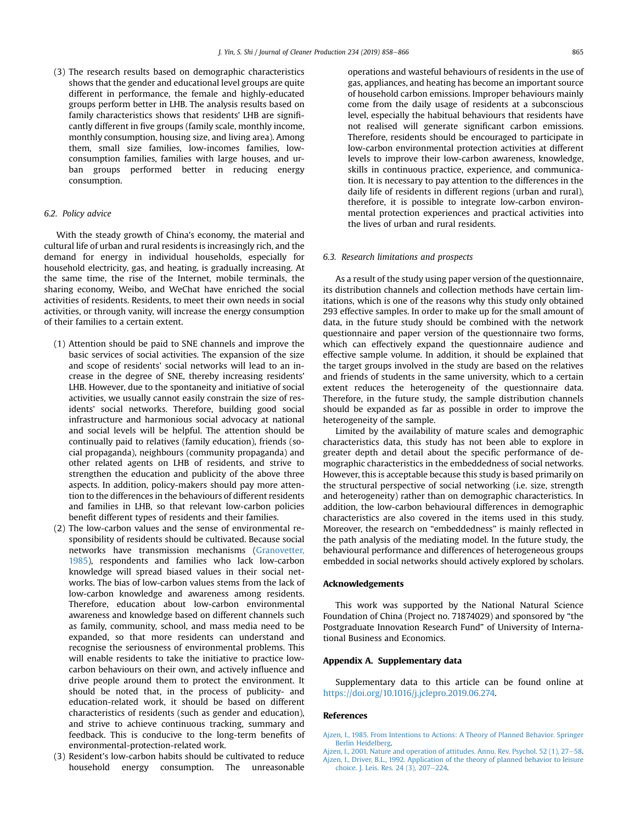<span id="page-7-0"></span>(3) The research results based on demographic characteristics shows that the gender and educational level groups are quite different in performance, the female and highly-educated groups perform better in LHB. The analysis results based on family characteristics shows that residents' LHB are significantly different in five groups (family scale, monthly income, monthly consumption, housing size, and living area). Among them, small size families, low-incomes families, lowconsumption families, families with large houses, and urban groups performed better in reducing energy consumption.

#### 6.2. Policy advice

With the steady growth of China's economy, the material and cultural life of urban and rural residents is increasingly rich, and the demand for energy in individual households, especially for household electricity, gas, and heating, is gradually increasing. At the same time, the rise of the Internet, mobile terminals, the sharing economy, Weibo, and WeChat have enriched the social activities of residents. Residents, to meet their own needs in social activities, or through vanity, will increase the energy consumption of their families to a certain extent.

- (1) Attention should be paid to SNE channels and improve the basic services of social activities. The expansion of the size and scope of residents' social networks will lead to an increase in the degree of SNE, thereby increasing residents' LHB. However, due to the spontaneity and initiative of social activities, we usually cannot easily constrain the size of residents' social networks. Therefore, building good social infrastructure and harmonious social advocacy at national and social levels will be helpful. The attention should be continually paid to relatives (family education), friends (social propaganda), neighbours (community propaganda) and other related agents on LHB of residents, and strive to strengthen the education and publicity of the above three aspects. In addition, policy-makers should pay more attention to the differences in the behaviours of different residents and families in LHB, so that relevant low-carbon policies benefit different types of residents and their families.
- (2) The low-carbon values and the sense of environmental responsibility of residents should be cultivated. Because social networks have transmission mechanisms ([Granovetter,](#page-8-0) [1985\)](#page-8-0), respondents and families who lack low-carbon knowledge will spread biased values in their social networks. The bias of low-carbon values stems from the lack of low-carbon knowledge and awareness among residents. Therefore, education about low-carbon environmental awareness and knowledge based on different channels such as family, community, school, and mass media need to be expanded, so that more residents can understand and recognise the seriousness of environmental problems. This will enable residents to take the initiative to practice lowcarbon behaviours on their own, and actively influence and drive people around them to protect the environment. It should be noted that, in the process of publicity- and education-related work, it should be based on different characteristics of residents (such as gender and education), and strive to achieve continuous tracking, summary and feedback. This is conducive to the long-term benefits of environmental-protection-related work.
- (3) Resident's low-carbon habits should be cultivated to reduce household energy consumption. The unreasonable

operations and wasteful behaviours of residents in the use of gas, appliances, and heating has become an important source of household carbon emissions. Improper behaviours mainly come from the daily usage of residents at a subconscious level, especially the habitual behaviours that residents have not realised will generate significant carbon emissions. Therefore, residents should be encouraged to participate in low-carbon environmental protection activities at different levels to improve their low-carbon awareness, knowledge, skills in continuous practice, experience, and communication. It is necessary to pay attention to the differences in the daily life of residents in different regions (urban and rural), therefore, it is possible to integrate low-carbon environmental protection experiences and practical activities into the lives of urban and rural residents.

#### 6.3. Research limitations and prospects

As a result of the study using paper version of the questionnaire, its distribution channels and collection methods have certain limitations, which is one of the reasons why this study only obtained 293 effective samples. In order to make up for the small amount of data, in the future study should be combined with the network questionnaire and paper version of the questionnaire two forms, which can effectively expand the questionnaire audience and effective sample volume. In addition, it should be explained that the target groups involved in the study are based on the relatives and friends of students in the same university, which to a certain extent reduces the heterogeneity of the questionnaire data. Therefore, in the future study, the sample distribution channels should be expanded as far as possible in order to improve the heterogeneity of the sample.

Limited by the availability of mature scales and demographic characteristics data, this study has not been able to explore in greater depth and detail about the specific performance of demographic characteristics in the embeddedness of social networks. However, this is acceptable because this study is based primarily on the structural perspective of social networking (i.e. size, strength and heterogeneity) rather than on demographic characteristics. In addition, the low-carbon behavioural differences in demographic characteristics are also covered in the items used in this study. Moreover, the research on "embeddedness" is mainly reflected in the path analysis of the mediating model. In the future study, the behavioural performance and differences of heterogeneous groups embedded in social networks should actively explored by scholars.

#### Acknowledgements

This work was supported by the National Natural Science Foundation of China (Project no. 71874029) and sponsored by "the Postgraduate Innovation Research Fund" of University of International Business and Economics.

#### Appendix A. Supplementary data

Supplementary data to this article can be found online at [https://doi.org/10.1016/j.jclepro.2019.06.274.](https://doi.org/10.1016/j.jclepro.2019.06.274)

#### References

[Ajzen, I., 2001. Nature and operation of attitudes. Annu. Rev. Psychol. 52 \(1\), 27](http://refhub.elsevier.com/S0959-6526(19)32239-5/sref2)-[58](http://refhub.elsevier.com/S0959-6526(19)32239-5/sref2). [Ajzen, I., Driver, B.L., 1992. Application of the theory of planned behavior to leisure](http://refhub.elsevier.com/S0959-6526(19)32239-5/sref3) [choice. J. Leis. Res. 24 \(3\), 207](http://refhub.elsevier.com/S0959-6526(19)32239-5/sref3)-[224](http://refhub.elsevier.com/S0959-6526(19)32239-5/sref3).

[Ajzen, I., 1985. From Intentions to Actions: A Theory of Planned Behavior. Springer](http://refhub.elsevier.com/S0959-6526(19)32239-5/sref1) [Berlin Heidelberg.](http://refhub.elsevier.com/S0959-6526(19)32239-5/sref1)